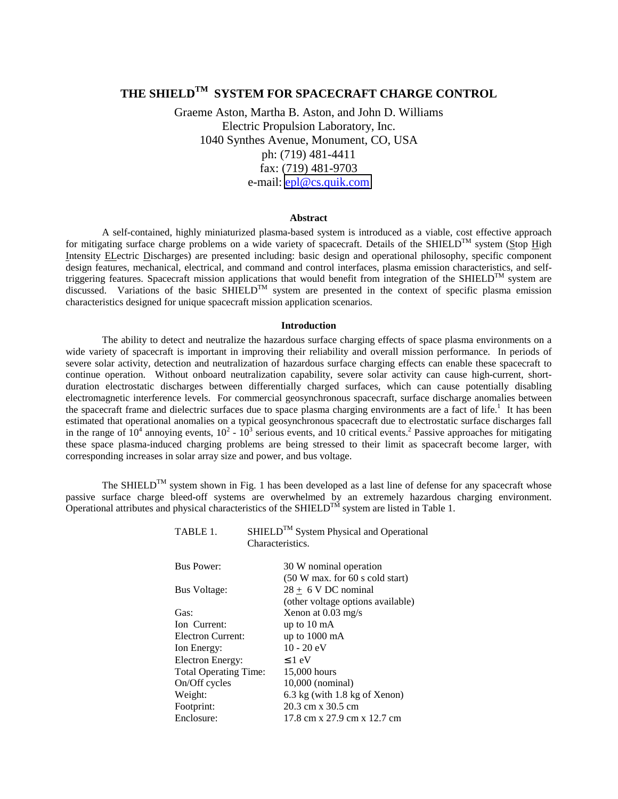# THE SHIELD<sup>TM</sup> SYSTEM FOR SPACECRAFT CHARGE CONTROL

Graeme Aston, Martha B. Aston, and John D. Williams Electric Propulsion Laboratory, Inc. 1040 Synthes Avenue, Monument, CO, USA ph: (719) 481-4411 fax: (719) 481-9703 e-mail: [epl@cs.quik.com](mailto:epl@cs.quik.com)

## **Abstract**

A self-contained, highly miniaturized plasma-based system is introduced as a viable, cost effective approach for mitigating surface charge problems on a wide variety of spacecraft. Details of the SHIELD<sup>TM</sup> system (Stop High Intensity ELectric Discharges) are presented including: basic design and operational philosophy, specific component design features, mechanical, electrical, and command and control interfaces, plasma emission characteristics, and selftriggering features. Spacecraft mission applications that would benefit from integration of the SHIELD<sup>TM</sup> system are discussed. Variations of the basic SHIELD<sup>TM</sup> system are presented in the context of specific plasma emission characteristics designed for unique spacecraft mission application scenarios.

## **Introduction**

The ability to detect and neutralize the hazardous surface charging effects of space plasma environments on a wide variety of spacecraft is important in improving their reliability and overall mission performance. In periods of severe solar activity, detection and neutralization of hazardous surface charging effects can enable these spacecraft to continue operation. Without onboard neutralization capability, severe solar activity can cause high-current, shortduration electrostatic discharges between differentially charged surfaces, which can cause potentially disabling electromagnetic interference levels. For commercial geosynchronous spacecraft, surface discharge anomalies between the spacecraft frame and dielectric surfaces due to space plasma charging environments are a fact of life.<sup>1</sup> It has been estimated that operational anomalies on a typical geosynchronous spacecraft due to electrostatic surface discharges fall in the range of  $10^4$  annoying events,  $10^2 \text{ - } 10^3$  serious events, and 10 critical events.<sup>2</sup> Passive approaches for mitigating these space plasma-induced charging problems are being stressed to their limit as spacecraft become larger, with corresponding increases in solar array size and power, and bus voltage.

The SHIELD<sup>TM</sup> system shown in Fig. 1 has been developed as a last line of defense for any spacecraft whose passive surface charge bleed-off systems are overwhelmed by an extremely hazardous charging environment. Operational attributes and physical characteristics of the SHIELD<sup>TM</sup> system are listed in Table 1.

| TABLE 1.<br>Characteristics. | SHIELD <sup>TM</sup> System Physical and Operational |
|------------------------------|------------------------------------------------------|
| <b>Bus Power:</b>            | 30 W nominal operation                               |
|                              | $(50 W max.$ for 60 s cold start)                    |
| <b>Bus Voltage:</b>          | $28 \pm 6$ V DC nominal                              |
|                              | (other voltage options available)                    |
| Gas:                         | Xenon at $0.03$ mg/s                                 |
| Ion Current:                 | up to $10 \text{ mA}$                                |
| Electron Current:            | up to $1000 \text{ mA}$                              |
| Ion Energy:                  | $10 - 20$ eV                                         |
| Electron Energy:             | $\leq 1$ eV                                          |
| <b>Total Operating Time:</b> | 15,000 hours                                         |
| On/Off cycles                | $10,000$ (nominal)                                   |
| Weight:                      | $6.3 \text{ kg}$ (with 1.8 kg of Xenon)              |
| Footprint:                   | 20.3 cm x 30.5 cm                                    |
| Enclosure:                   | 17.8 cm x 27.9 cm x 12.7 cm                          |
|                              |                                                      |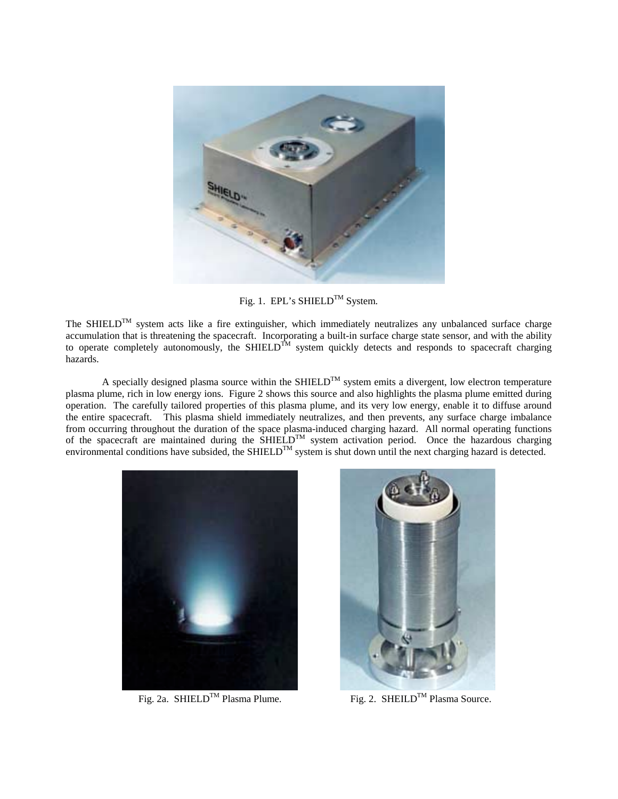

Fig. 1. EPL's SHIELD<sup>TM</sup> System.

The SHIELD<sup>TM</sup> system acts like a fire extinguisher, which immediately neutralizes any unbalanced surface charge accumulation that is threatening the spacecraft. Incorporating a built-in surface charge state sensor, and with the ability to operate completely autonomously, the SHIELD<sup>TM</sup> system quickly detects and responds to spacecraft charging hazards.

A specially designed plasma source within the SHIELD<sup>TM</sup> system emits a divergent, low electron temperature plasma plume, rich in low energy ions. Figure 2 shows this source and also highlights the plasma plume emitted during operation. The carefully tailored properties of this plasma plume, and its very low energy, enable it to diffuse around the entire spacecraft. This plasma shield immediately neutralizes, and then prevents, any surface charge imbalance from occurring throughout the duration of the space plasma-induced charging hazard. All normal operating functions of the spacecraft are maintained during the  $\widehat{SHIELD}^{TM}$  system activation period. Once the hazardous charging environmental conditions have subsided, the SHIELD<sup>TM</sup> system is shut down until the next charging hazard is detected.





Fig. 2a. SHIELD<sup>TM</sup> Plasma Plume. Fig. 2. SHEILD<sup>TM</sup> Plasma Source.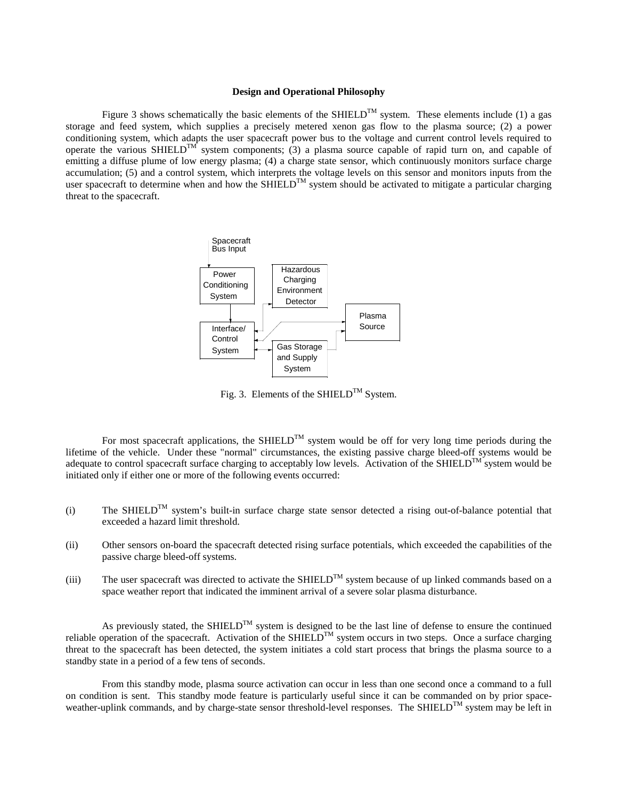## **Design and Operational Philosophy**

Figure 3 shows schematically the basic elements of the SHIELD<sup>TM</sup> system. These elements include (1) a gas storage and feed system, which supplies a precisely metered xenon gas flow to the plasma source; (2) a power conditioning system, which adapts the user spacecraft power bus to the voltage and current control levels required to operate the various SHIELD<sup>TM</sup> system components; (3) a plasma source capable of rapid turn on, and capable of emitting a diffuse plume of low energy plasma; (4) a charge state sensor, which continuously monitors surface charge accumulation; (5) and a control system, which interprets the voltage levels on this sensor and monitors inputs from the user spacecraft to determine when and how the SHIELD<sup>TM</sup> system should be activated to mitigate a particular charging threat to the spacecraft.



Fig. 3. Elements of the SHIELD<sup>TM</sup> System.

For most spacecraft applications, the SHIELD<sup>TM</sup> system would be off for very long time periods during the lifetime of the vehicle. Under these "normal" circumstances, the existing passive charge bleed-off systems would be adequate to control spacecraft surface charging to acceptably low levels. Activation of the SHIELD<sup>TM</sup> system would be initiated only if either one or more of the following events occurred:

- (i) The SHIELD<sup>TM</sup> system's built-in surface charge state sensor detected a rising out-of-balance potential that exceeded a hazard limit threshold.
- (ii) Other sensors on-board the spacecraft detected rising surface potentials, which exceeded the capabilities of the passive charge bleed-off systems.
- (iii) The user spacecraft was directed to activate the SHIELD<sup>TM</sup> system because of up linked commands based on a space weather report that indicated the imminent arrival of a severe solar plasma disturbance.

As previously stated, the SHIELD<sup>TM</sup> system is designed to be the last line of defense to ensure the continued reliable operation of the spacecraft. Activation of the SHIELD<sup>TM</sup> system occurs in two steps. Once a surface charging threat to the spacecraft has been detected, the system initiates a cold start process that brings the plasma source to a standby state in a period of a few tens of seconds.

From this standby mode, plasma source activation can occur in less than one second once a command to a full on condition is sent. This standby mode feature is particularly useful since it can be commanded on by prior spaceweather-uplink commands, and by charge-state sensor threshold-level responses. The SHIELD<sup>TM</sup> system may be left in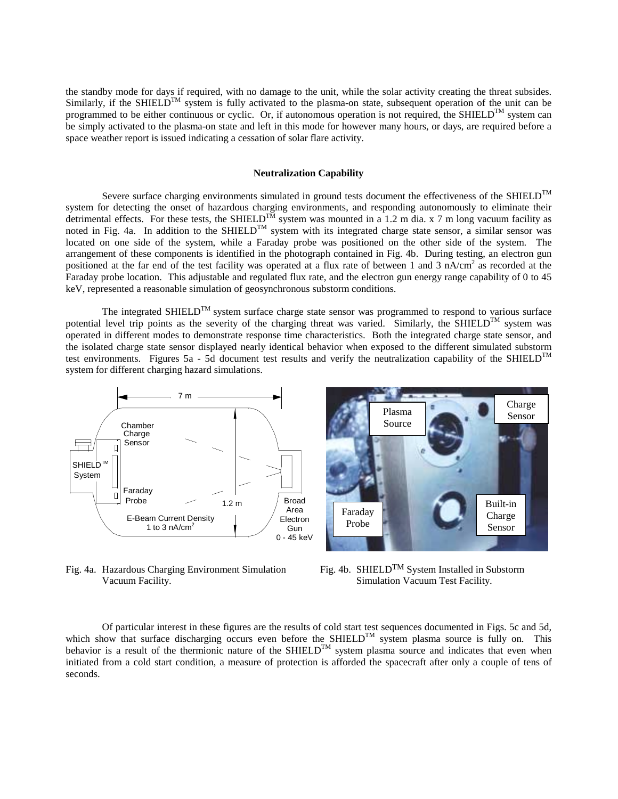the standby mode for days if required, with no damage to the unit, while the solar activity creating the threat subsides. Similarly, if the SHIELD<sup>TM</sup> system is fully activated to the plasma-on state, subsequent operation of the unit can be programmed to be either continuous or cyclic. Or, if autonomous operation is not required, the SHIELD<sup>TM</sup> system can be simply activated to the plasma-on state and left in this mode for however many hours, or days, are required before a space weather report is issued indicating a cessation of solar flare activity.

## **Neutralization Capability**

Severe surface charging environments simulated in ground tests document the effectiveness of the SHIELD<sup>TM</sup> system for detecting the onset of hazardous charging environments, and responding autonomously to eliminate their detrimental effects. For these tests, the SHIELD<sup>TM</sup> system was mounted in a 1.2 m dia. x 7 m long vacuum facility as noted in Fig. 4a. In addition to the SHIELD<sup>TM</sup> system with its integrated charge state sensor, a similar sensor was located on one side of the system, while a Faraday probe was positioned on the other side of the system. The arrangement of these components is identified in the photograph contained in Fig. 4b. During testing, an electron gun positioned at the far end of the test facility was operated at a flux rate of between 1 and 3 nA/cm<sup>2</sup> as recorded at the Faraday probe location. This adjustable and regulated flux rate, and the electron gun energy range capability of 0 to 45 keV, represented a reasonable simulation of geosynchronous substorm conditions.

The integrated SHIELD<sup>TM</sup> system surface charge state sensor was programmed to respond to various surface potential level trip points as the severity of the charging threat was varied. Similarly, the SHIELD<sup>TM</sup> system was operated in different modes to demonstrate response time characteristics. Both the integrated charge state sensor, and the isolated charge state sensor displayed nearly identical behavior when exposed to the different simulated substorm test environments. Figures 5a - 5d document test results and verify the neutralization capability of the SHIELD<sup>TM</sup> system for different charging hazard simulations.



Fig. 4a. Hazardous Charging Environment Simulation Fig. 4b. SHIELD<sup>TM</sup> System Installed in Substorm Vacuum Facility. Simulation Vacuum Test Facility.



Of particular interest in these figures are the results of cold start test sequences documented in Figs. 5c and 5d, which show that surface discharging occurs even before the SHIELD<sup>TM</sup> system plasma source is fully on. This behavior is a result of the thermionic nature of the SHIELD<sup>TM</sup> system plasma source and indicates that even when initiated from a cold start condition, a measure of protection is afforded the spacecraft after only a couple of tens of seconds.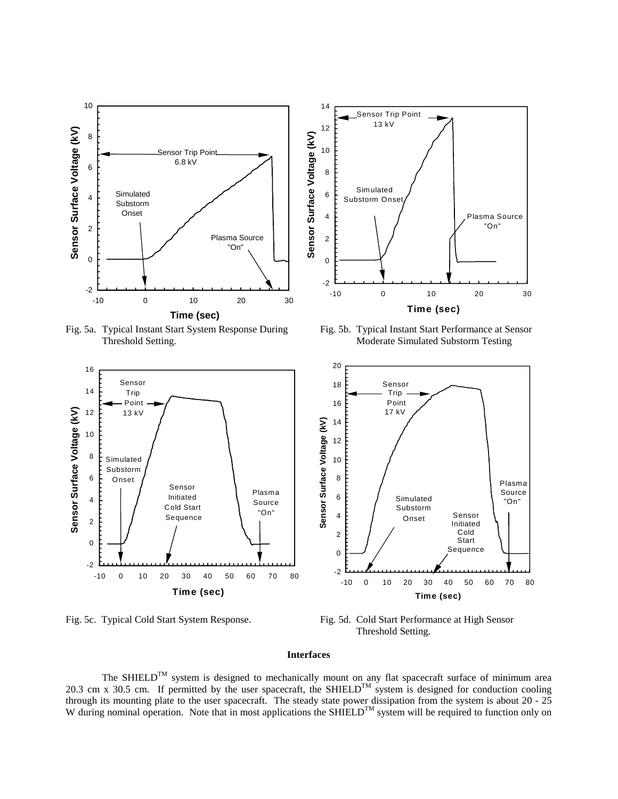

Fig. 5a. Typical Instant Start System Response During Fig. 5b. Typical Instant Start Performance at Sensor





Threshold Setting. Moderate Simulated Substorm Testing



Fig. 5c. Typical Cold Start System Response. Fig. 5d. Cold Start Performance at High Sensor Threshold Setting.

## **Interfaces**

The SHIELD<sup>TM</sup> system is designed to mechanically mount on any flat spacecraft surface of minimum area 20.3 cm x 30.5 cm. If permitted by the user spacecraft, the SHIELD<sup>TM</sup> system is designed for conduction cooling through its mounting plate to the user spacecraft. The steady state power dissipation from the system is about 20 - 25 W during nominal operation. Note that in most applications the SHIELD<sup>TM</sup> system will be required to function only on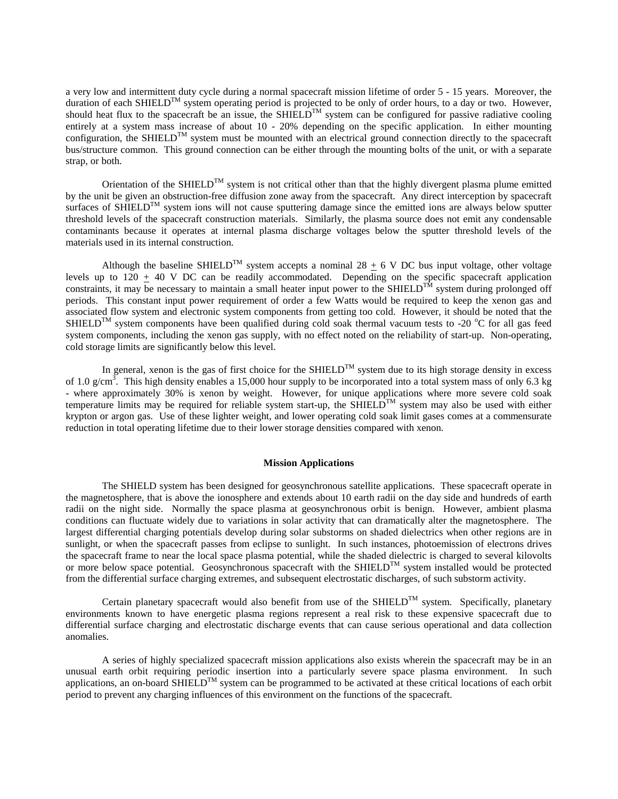a very low and intermittent duty cycle during a normal spacecraft mission lifetime of order 5 - 15 years. Moreover, the duration of each SHIELD<sup>TM</sup> system operating period is projected to be only of order hours, to a day or two. However, should heat flux to the spacecraft be an issue, the  $SHI ELD^{TM}$  system can be configured for passive radiative cooling entirely at a system mass increase of about 10 - 20% depending on the specific application. In either mounting configuration, the SHIELD<sup>TM</sup> system must be mounted with an electrical ground connection directly to the spacecraft bus/structure common. This ground connection can be either through the mounting bolts of the unit, or with a separate strap, or both.

Orientation of the SHIELD<sup>TM</sup> system is not critical other than that the highly divergent plasma plume emitted by the unit be given an obstruction-free diffusion zone away from the spacecraft. Any direct interception by spacecraft surfaces of SHIELD<sup>TM</sup> system ions will not cause sputtering damage since the emitted ions are always below sputter threshold levels of the spacecraft construction materials. Similarly, the plasma source does not emit any condensable contaminants because it operates at internal plasma discharge voltages below the sputter threshold levels of the materials used in its internal construction.

Although the baseline SHIELD<sup>TM</sup> system accepts a nominal 28  $\pm$  6 V DC bus input voltage, other voltage levels up to  $120 \pm 40$  V DC can be readily accommodated. Depending on the specific spacecraft application constraints, it may be necessary to maintain a small heater input power to the SHIELD<sup>TM</sup> system during prolonged off periods. This constant input power requirement of order a few Watts would be required to keep the xenon gas and associated flow system and electronic system components from getting too cold. However, it should be noted that the SHIELD<sup>TM</sup> system components have been qualified during cold soak thermal vacuum tests to -20  $^{\circ}$ C for all gas feed system components, including the xenon gas supply, with no effect noted on the reliability of start-up. Non-operating, cold storage limits are significantly below this level.

In general, xenon is the gas of first choice for the SHIELD<sup>TM</sup> system due to its high storage density in excess of 1.0  $g/cm^3$ . This high density enables a 15,000 hour supply to be incorporated into a total system mass of only 6.3 kg - where approximately 30% is xenon by weight. However, for unique applications where more severe cold soak temperature limits may be required for reliable system start-up, the SHIELD<sup>TM</sup> system may also be used with either krypton or argon gas. Use of these lighter weight, and lower operating cold soak limit gases comes at a commensurate reduction in total operating lifetime due to their lower storage densities compared with xenon.

#### **Mission Applications**

 The SHIELD system has been designed for geosynchronous satellite applications. These spacecraft operate in the magnetosphere, that is above the ionosphere and extends about 10 earth radii on the day side and hundreds of earth radii on the night side. Normally the space plasma at geosynchronous orbit is benign. However, ambient plasma conditions can fluctuate widely due to variations in solar activity that can dramatically alter the magnetosphere. The largest differential charging potentials develop during solar substorms on shaded dielectrics when other regions are in sunlight, or when the spacecraft passes from eclipse to sunlight. In such instances, photoemission of electrons drives the spacecraft frame to near the local space plasma potential, while the shaded dielectric is charged to several kilovolts or more below space potential. Geosynchronous spacecraft with the SHIELD<sup>TM</sup> system installed would be protected from the differential surface charging extremes, and subsequent electrostatic discharges, of such substorm activity.

Certain planetary spacecraft would also benefit from use of the SHIELD<sup>TM</sup> system. Specifically, planetary environments known to have energetic plasma regions represent a real risk to these expensive spacecraft due to differential surface charging and electrostatic discharge events that can cause serious operational and data collection anomalies.

 A series of highly specialized spacecraft mission applications also exists wherein the spacecraft may be in an unusual earth orbit requiring periodic insertion into a particularly severe space plasma environment. In such applications, an on-board SHIELD<sup>TM</sup> system can be programmed to be activated at these critical locations of each orbit period to prevent any charging influences of this environment on the functions of the spacecraft.